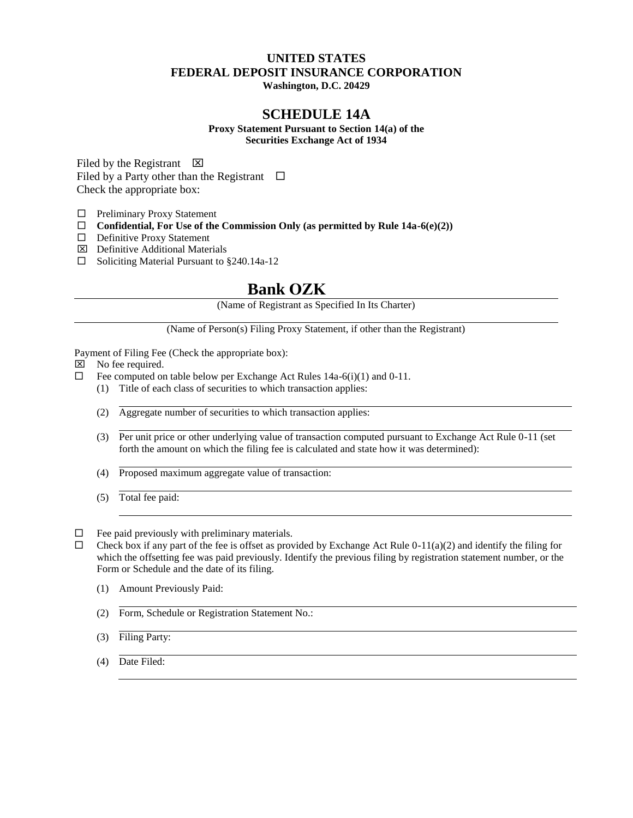## **UNITED STATES FEDERAL DEPOSIT INSURANCE CORPORATION**

**Washington, D.C. 20429**

### **SCHEDULE 14A**

**Proxy Statement Pursuant to Section 14(a) of the Securities Exchange Act of 1934**

Filed by the Registrant  $\boxtimes$ Filed by a Party other than the Registrant  $\Box$ Check the appropriate box:

 $\Box$  Preliminary Proxy Statement

- Confidential, For Use of the Commission Only (as permitted by Rule  $14a-6(e)(2)$ )
- □ Definitive Proxy Statement
- Definitive Additional Materials
- $\Box$  Soliciting Material Pursuant to §240.14a-12

## **Bank OZK**

(Name of Registrant as Specified In Its Charter)

(Name of Person(s) Filing Proxy Statement, if other than the Registrant)

Payment of Filing Fee (Check the appropriate box):

- $\boxtimes$  No fee required.
- $\Box$  Fee computed on table below per Exchange Act Rules 14a-6(i)(1) and 0-11.
	- (1) Title of each class of securities to which transaction applies:
	- (2) Aggregate number of securities to which transaction applies:
	- (3) Per unit price or other underlying value of transaction computed pursuant to Exchange Act Rule 0-11 (set forth the amount on which the filing fee is calculated and state how it was determined):
	- (4) Proposed maximum aggregate value of transaction:
	- (5) Total fee paid:
- $\Box$  Fee paid previously with preliminary materials.
- $\Box$  Check box if any part of the fee is offset as provided by Exchange Act Rule 0-11(a)(2) and identify the filing for which the offsetting fee was paid previously. Identify the previous filing by registration statement number, or the Form or Schedule and the date of its filing.
	- (1) Amount Previously Paid:
	- (2) Form, Schedule or Registration Statement No.:
	- (3) Filing Party:
	- (4) Date Filed: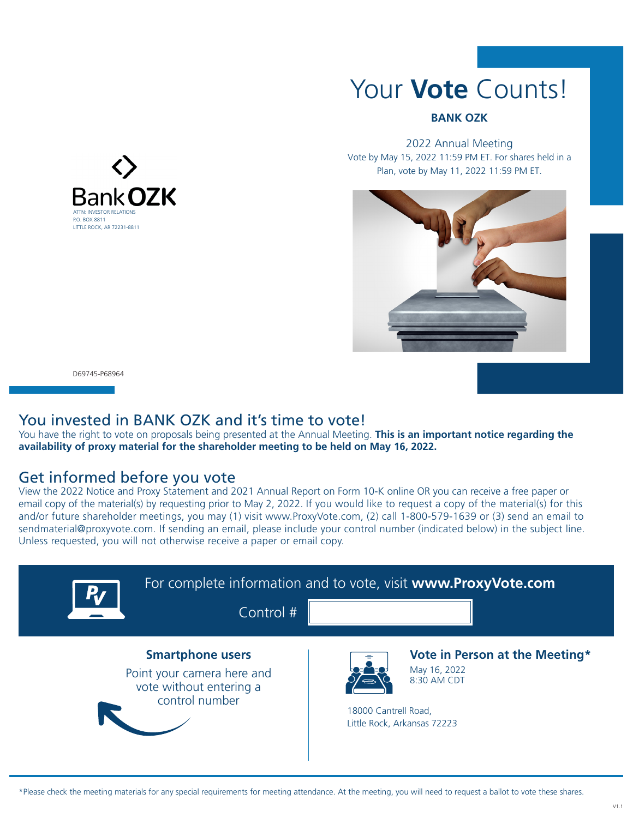

#### **BANK OZK**

2022 Annual Meeting Vote by May 15, 2022 11:59 PM ET. For shares held in a Plan, vote by May 11, 2022 11:59 PM ET.



D69745-P68964

## You invested in BANK OZK and it's time to vote!

You have the right to vote on proposals being presented at the Annual Meeting. **This is an important notice regarding the availability of proxy material for the shareholder meeting to be held on May 16, 2022.**

## Get informed before you vote

View the 2022 Notice and Proxy Statement and 2021 Annual Report on Form 10-K online OR you can receive a free paper or email copy of the material(s) by requesting prior to May 2, 2022. If you would like to request a copy of the material(s) for this and/or future shareholder meetings, you may (1) visit www.ProxyVote.com, (2) call 1-800-579-1639 or (3) send an email to sendmaterial@proxyvote.com. If sending an email, please include your control number (indicated below) in the subject line. Unless requested, you will not otherwise receive a paper or email copy.